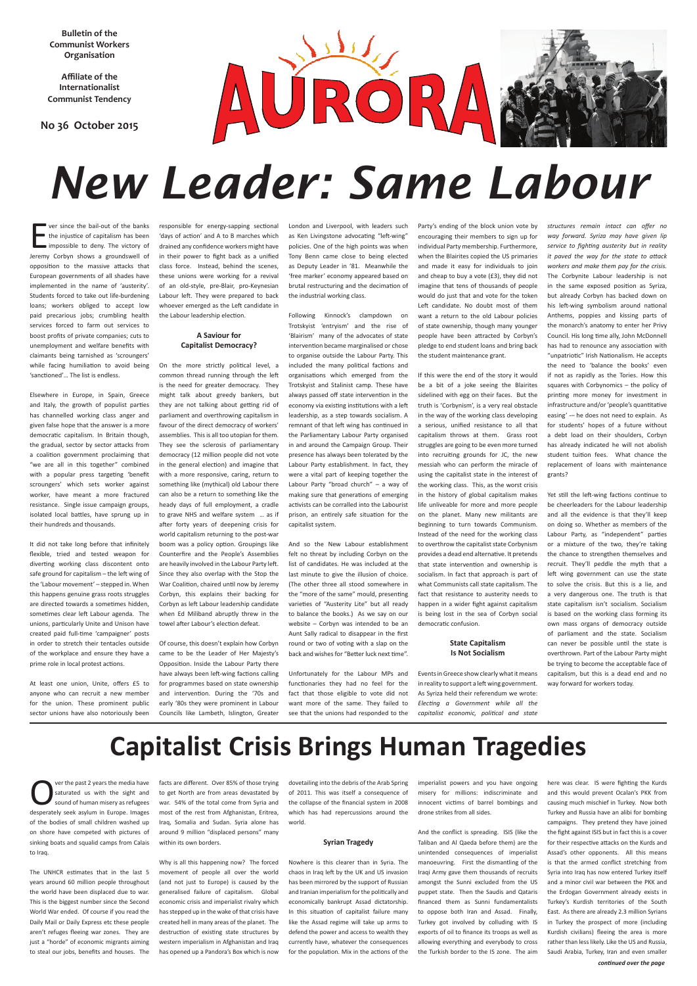**Bulletin of the Communist Workers Organisation**

**Affiliate of the Internationalist Communist Tendency** 

**No 36 October 2015**



# *New Leader: Same Labour*

### **Capitalist Crisis Brings Human Tragedies**

E ver since the bail-out of the banks the injustice of capitalism has been impossible to deny. The victory of Jeremy Corbyn shows a groundswell of opposition to the massive attacks that European governments of all shades have implemented in the name of 'austerity'. Students forced to take out life-burdening loans; workers obliged to accept low paid precarious jobs; crumbling health services forced to farm out services to boost profits of private companies; cuts to unemployment and welfare benefits with claimants being tarnished as 'scroungers' while facing humiliation to avoid being 'sanctioned'… The list is endless.

Elsewhere in Europe, in Spain, Greece and Italy, the growth of populist parties has channelled working class anger and given false hope that the answer is a more democratic capitalism. In Britain though, the gradual, sector by sector attacks from a coalition government proclaiming that "we are all in this together" combined with a popular press targeting 'benefit scroungers' which sets worker against worker, have meant a more fractured resistance. Single issue campaign groups, isolated local battles, have sprung up in their hundreds and thousands.

It did not take long before that infinitely flexible, tried and tested weapon for diverting working class discontent onto safe ground for capitalism – the left wing of the 'Labour movement' – stepped in. When this happens genuine grass roots struggles are directed towards a sometimes hidden, sometimes clear left Labour agenda. The unions, particularly Unite and Unison have created paid full-time 'campaigner' posts in order to stretch their tentacles outside of the workplace and ensure they have a prime role in local protest actions.

At least one union, Unite, offers £5 to anyone who can recruit a new member for the union. These prominent public sector unions have also notoriously been responsible for energy-sapping sectional 'days of action' and A to B marches which drained any confidence workers might have in their power to fight back as a unified class force. Instead, behind the scenes, these unions were working for a revival of an old-style, pre-Blair, pro-Keynesian Labour left. They were prepared to back whoever emerged as the Left candidate in the Labour leadership election.

#### **A Saviour for Capitalist Democracy?**

Following Kinnock's clampdown on Trotskyist 'entryism' and the rise of 'Blairism' many of the advocates of state intervention became marginalised or chose to organise outside the Labour Party. This included the many political factions and organisations which emerged from the Trotskyist and Stalinist camp. These have always passed off state intervention in the economy via existing institutions with a left leadership, as a step towards socialism. A remnant of that left wing has continued in the Parliamentary Labour Party organised in and around the Campaign Group. Their presence has always been tolerated by the Labour Party establishment. In fact, they were a vital part of keeping together the Labour Party "broad church" – a way of making sure that generations of emerging activists can be corralled into the Labourist prison, an entirely safe situation for the capitalist system.

On the more strictly political level, a common thread running through the left is the need for greater democracy. They might talk about greedy bankers, but they are not talking about getting rid of parliament and overthrowing capitalism in favour of the direct democracy of workers' assemblies. This is all too utopian for them. They see the sclerosis of parliamentary democracy (12 million people did not vote in the general election) and imagine that with a more responsive, caring, return to something like (mythical) old Labour there can also be a return to something like the heady days of full employment, a cradle to grave NHS and welfare system … as if after forty years of deepening crisis for world capitalism returning to the post-war boom was a policy option. Groupings like Counterfire and the People's Assemblies are heavily involved in the Labour Party left. Since they also overlap with the Stop the War Coalition, chaired until now by Jeremy Corbyn, this explains their backing for Corbyn as left Labour leadership candidate when Ed Miliband abruptly threw in the towel after Labour's election defeat.

Of course, this doesn't explain how Corbyn came to be the Leader of Her Majesty's Opposition. Inside the Labour Party there have always been left-wing factions calling for programmes based on state ownership and intervention. During the '70s and early '80s they were prominent in Labour Councils like Lambeth, Islington, Greater

London and Liverpool, with leaders such as Ken Livingstone advocating "left-wing" policies. One of the high points was when Tony Benn came close to being elected as Deputy Leader in '81. Meanwhile the 'free marker' economy appeared based on brutal restructuring and the decimation of the industrial working class.

Ver the past 2 years the media have<br>saturated us with the sight and<br>sound of human misery as refugees saturated us with the sight and desperately seek asylum in Europe. Images of the bodies of small children washed up on shore have competed with pictures of sinking boats and squalid camps from Calais to Iraq.

And so the New Labour establishment felt no threat by including Corbyn on the list of candidates. He was included at the last minute to give the illusion of choice. (The other three all stood somewhere in the "more of the same" mould, presenting varieties of "Austerity Lite" but all ready to balance the books.) As we say on our website – Corbyn was intended to be an Aunt Sally radical to disappear in the first round or two of voting with a slap on the back and wishes for "Better luck next time".

Unfortunately for the Labour MPs and functionaries they had no feel for the fact that those eligible to vote did not want more of the same. They failed to see that the unions had responded to the

Party's ending of the block union vote by encouraging their members to sign up for individual Party membership. Furthermore, when the Blairites copied the US primaries and made it easy for individuals to join and cheap to buy a vote (£3), they did not imagine that tens of thousands of people would do just that and vote for the token Left candidate. No doubt most of them want a return to the old Labour policies of state ownership, though many younger people have been attracted by Corbyn's pledge to end student loans and bring back the student maintenance grant.

If this were the end of the story it would be a bit of a joke seeing the Blairites sidelined with egg on their faces. But the truth is 'Corbynism', is a very real obstacle in the way of the working class developing a serious, unified resistance to all that capitalism throws at them. Grass root struggles are going to be even more turned into recruiting grounds for JC, the new messiah who can perform the miracle of using the capitalist state in the interest of the working class. This, as the worst crisis in the history of global capitalism makes life unliveable for more and more people on the planet. Many new militants are beginning to turn towards Communism. Instead of the need for the working class to overthrow the capitalist state Corbynism provides a dead end alternative. It pretends that state intervention and ownership is socialism. In fact that approach is part of what Communists call state capitalism. The fact that resistance to austerity needs to happen in a wider fight against capitalism is being lost in the sea of Corbyn social democratic confusion.

#### **State Capitalism Is Not Socialism**

Events in Greece show clearly what it means in reality to support a left wing government. As Syriza held their referendum we wrote: *Electing a Government while all the capitalist economic, political and state* 

*structures remain intact can offer no way forward. Syriza may have given lip service to fighting austerity but in reality it paved the way for the state to attack workers and make them pay for the crisis.* The Corbynite Labour leadership is not in the same exposed position as Syriza, but already Corbyn has backed down on his left-wing symbolism around national Anthems, poppies and kissing parts of the monarch's anatomy to enter her Privy Council. His long time ally, John McDonnell has had to renounce any association with "unpatriotic" Irish Nationalism. He accepts the need to 'balance the books' even if not as rapidly as the Tories. How this squares with Corbynomics – the policy of printing more money for investment in infrastructure and/or 'people's quantitative easing' -– he does not need to explain. As for students' hopes of a future without a debt load on their shoulders, Corbyn has already indicated he will not abolish student tuition fees. What chance the replacement of loans with maintenance grants?

Yet still the left-wing factions continue to be cheerleaders for the Labour leadership and all the evidence is that they'll keep on doing so. Whether as members of the Labour Party, as "independent" parties or a mixture of the two, they're taking the chance to strengthen themselves and recruit. They'll peddle the myth that a left wing government can use the state to solve the crisis. But this is a lie, and a very dangerous one. The truth is that state capitalism isn't socialism. Socialism is based on the working class forming its own mass organs of democracy outside of parliament and the state. Socialism can never be possible until the state is overthrown. Part of the Labour Party might be trying to become the acceptable face of capitalism, but this is a dead end and no way forward for workers today.

The UNHCR estimates that in the last 5 years around 60 million people throughout the world have been displaced due to war. This is the biggest number since the Second World War ended. Of course if you read the Daily Mail or Daily Express etc these people aren't refuges fleeing war zones. They are just a "horde" of economic migrants aiming to steal our jobs, benefits and houses. The

facts are different. Over 85% of those trying to get North are from areas devastated by war. 54% of the total come from Syria and most of the rest from Afghanistan, Eritrea, Iraq, Somalia and Sudan. Syria alone has around 9 million "displaced persons" many within its own borders.

Why is all this happening now? The forced movement of people all over the world (and not just to Europe) is caused by the generalised failure of capitalism. Global economic crisis and imperialist rivalry which has stepped up in the wake of that crisis have created hell in many areas of the planet. The destruction of existing state structures by western imperialism in Afghanistan and Iraq has opened up a Pandora's Box which is now

dovetailing into the debris of the Arab Spring of 2011. This was itself a consequence of the collapse of the financial system in 2008 which has had repercussions around the

world.

#### **Syrian Tragedy**

Nowhere is this clearer than in Syria. The chaos in Iraq left by the UK and US invasion has been mirrored by the support of Russian and Iranian imperialism for the politically and economically bankrupt Assad dictatorship. In this situation of capitalist failure many like the Assad regime will take up arms to defend the power and access to wealth they currently have, whatever the consequences for the population. Mix in the actions of the imperialist powers and you have ongoing misery for millions: indiscriminate and innocent victims of barrel bombings and drone strikes from all sides.

And the conflict is spreading. ISIS (like the Taliban and Al Qaeda before them) are the unintended consequences of imperialist manoeuvring. First the dismantling of the Iraqi Army gave them thousands of recruits amongst the Sunni excluded from the US puppet state. Then the Saudis and Qataris financed them as Sunni fundamentalists to oppose both Iran and Assad. Finally, Turkey got involved by colluding with IS exports of oil to finance its troops as well as allowing everything and everybody to cross the Turkish border to the IS zone. The aim

here was clear. IS were fighting the Kurds and this would prevent Ocalan's PKK from causing much mischief in Turkey. Now both Turkey and Russia have an alibi for bombing campaigns. They pretend they have joined the fight against ISIS but in fact this is a cover for their respective attacks on the Kurds and Assad's other opponents. All this means is that the armed conflict stretching from Syria into Iraq has now entered Turkey itself and a minor civil war between the PKK and the Erdogan Government already exists in Turkey's Kurdish territories of the South East. As there are already 2.3 million Syrians in Turkey the prospect of more (including Kurdish civilians) fleeing the area is more rather than less likely. Like the US and Russia, Saudi Arabia, Turkey, Iran and even smaller

#### *continued over the page*